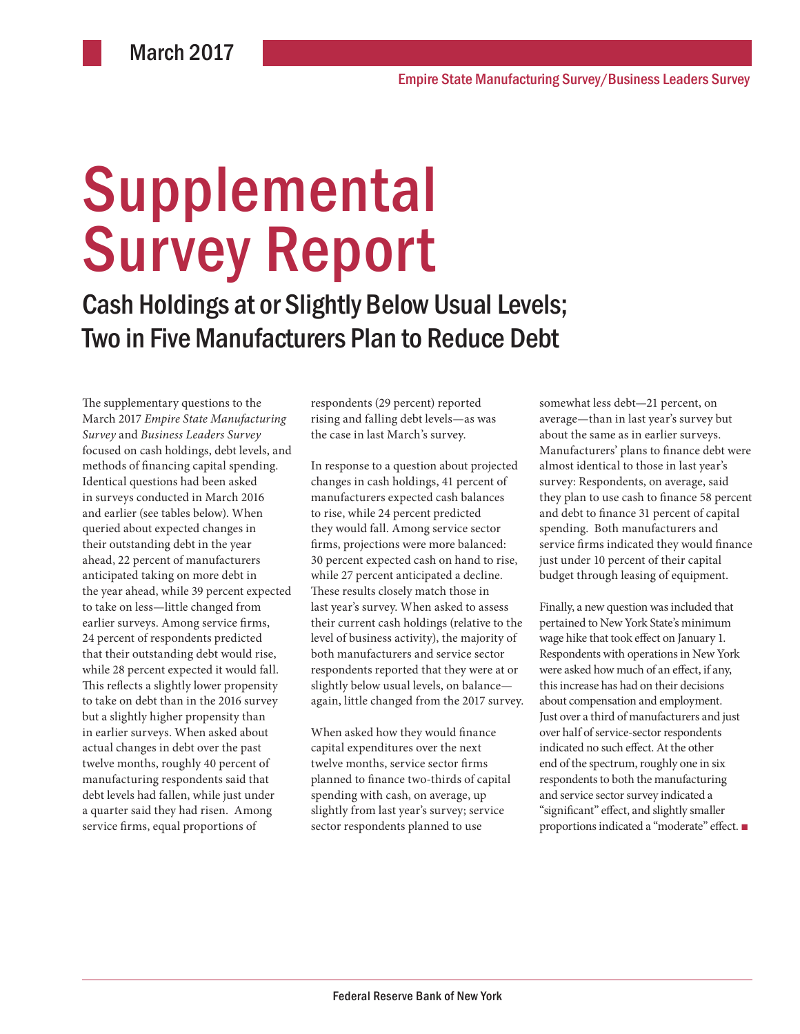# **Supplemental** Survey Report

Cash Holdings at or Slightly Below Usual Levels; Two in Five Manufacturers Plan to Reduce Debt

The supplementary questions to the March 2017 *Empire State Manufacturing Survey* and *Business Leaders Survey* focused on cash holdings, debt levels, and methods of financing capital spending. Identical questions had been asked in surveys conducted in March 2016 and earlier (see tables below). When queried about expected changes in their outstanding debt in the year ahead, 22 percent of manufacturers anticipated taking on more debt in the year ahead, while 39 percent expected to take on less—little changed from earlier surveys. Among service firms, 24 percent of respondents predicted that their outstanding debt would rise, while 28 percent expected it would fall. This reflects a slightly lower propensity to take on debt than in the 2016 survey but a slightly higher propensity than in earlier surveys. When asked about actual changes in debt over the past twelve months, roughly 40 percent of manufacturing respondents said that debt levels had fallen, while just under a quarter said they had risen. Among service firms, equal proportions of

respondents (29 percent) reported rising and falling debt levels—as was the case in last March's survey.

In response to a question about projected changes in cash holdings, 41 percent of manufacturers expected cash balances to rise, while 24 percent predicted they would fall. Among service sector firms, projections were more balanced: 30 percent expected cash on hand to rise, while 27 percent anticipated a decline. These results closely match those in last year's survey. When asked to assess their current cash holdings (relative to the level of business activity), the majority of both manufacturers and service sector respondents reported that they were at or slightly below usual levels, on balance again, little changed from the 2017 survey.

When asked how they would finance capital expenditures over the next twelve months, service sector firms planned to finance two-thirds of capital spending with cash, on average, up slightly from last year's survey; service sector respondents planned to use

somewhat less debt—21 percent, on average—than in last year's survey but about the same as in earlier surveys. Manufacturers' plans to finance debt were almost identical to those in last year's survey: Respondents, on average, said they plan to use cash to finance 58 percent and debt to finance 31 percent of capital spending. Both manufacturers and service firms indicated they would finance just under 10 percent of their capital budget through leasing of equipment.

Finally, a new question was included that pertained to New York State's minimum wage hike that took effect on January 1. Respondents with operations in New York were asked how much of an effect, if any, this increase has had on their decisions about compensation and employment. Just over a third of manufacturers and just over half of service-sector respondents indicated no such effect. At the other end of the spectrum, roughly one in six respondents to both the manufacturing and service sector survey indicated a "significant" effect, and slightly smaller proportions indicated a "moderate" effect. ■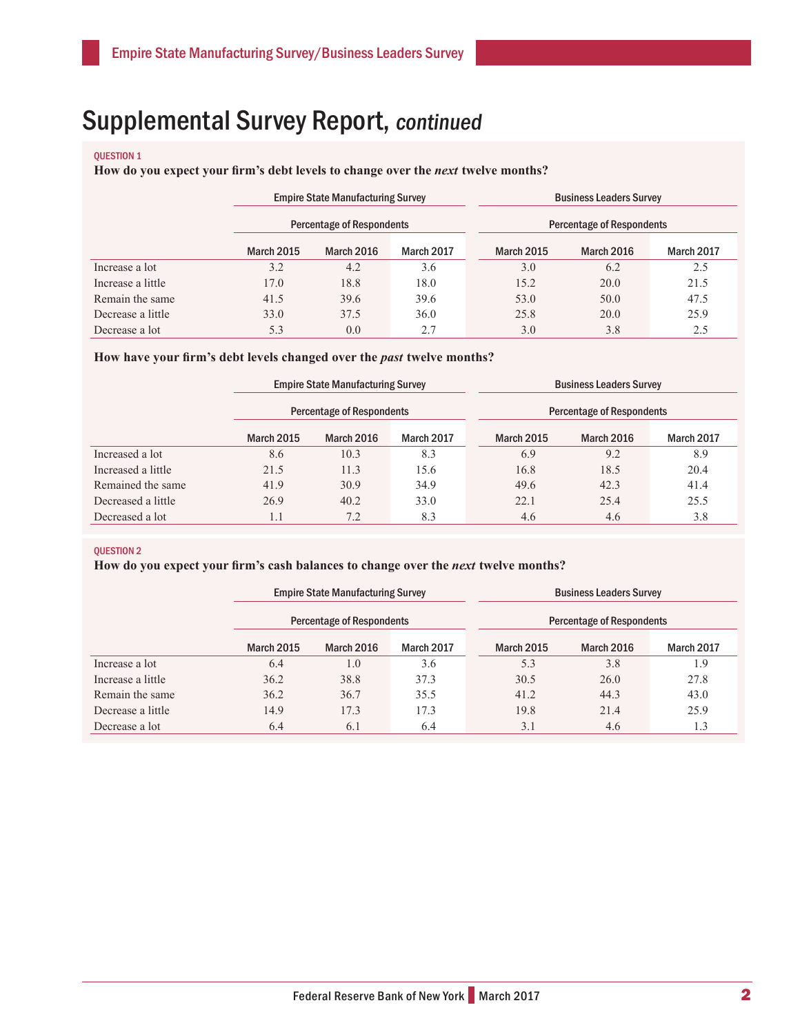#### QUESTION 1

**How do you expect your firm's debt levels to change over the** *next* **twelve months?** 

|                   | <b>Empire State Manufacturing Survey</b><br><b>Percentage of Respondents</b> |                   |            |  | <b>Business Leaders Survey</b><br><b>Percentage of Respondents</b> |            |            |  |
|-------------------|------------------------------------------------------------------------------|-------------------|------------|--|--------------------------------------------------------------------|------------|------------|--|
|                   |                                                                              |                   |            |  |                                                                    |            |            |  |
|                   | <b>March 2015</b>                                                            | <b>March 2016</b> | March 2017 |  | <b>March 2015</b>                                                  | March 2016 | March 2017 |  |
| Increase a lot    | 3.2                                                                          | 4.2               | 3.6        |  | 3.0                                                                | 6.2        | 2.5        |  |
| Increase a little | 17.0                                                                         | 18.8              | 18.0       |  | 15.2                                                               | 20.0       | 21.5       |  |
| Remain the same   | 41.5                                                                         | 39.6              | 39.6       |  | 53.0                                                               | 50.0       | 47.5       |  |
| Decrease a little | 33.0                                                                         | 37.5              | 36.0       |  | 25.8                                                               | 20.0       | 25.9       |  |
| Decrease a lot    | 5.3                                                                          | 0.0               | 2.7        |  | 3.0                                                                | 3.8        | 2.5        |  |

#### How have your firm's debt levels changed over the *past* twelve months?

|                    | <b>Empire State Manufacturing Survey</b><br><b>Percentage of Respondents</b> |            |            |  | <b>Business Leaders Survey</b><br><b>Percentage of Respondents</b> |            |            |  |
|--------------------|------------------------------------------------------------------------------|------------|------------|--|--------------------------------------------------------------------|------------|------------|--|
|                    |                                                                              |            |            |  |                                                                    |            |            |  |
|                    | <b>March 2015</b>                                                            | March 2016 | March 2017 |  | <b>March 2015</b>                                                  | March 2016 | March 2017 |  |
| Increased a lot    | 8.6                                                                          | 10.3       | 8.3        |  | 6.9                                                                | 9.2        | 8.9        |  |
| Increased a little | 21.5                                                                         | 11.3       | 15.6       |  | 16.8                                                               | 18.5       | 20.4       |  |
| Remained the same  | 41.9                                                                         | 30.9       | 34.9       |  | 49.6                                                               | 42.3       | 41.4       |  |
| Decreased a little | 26.9                                                                         | 40.2       | 33.0       |  | 22.1                                                               | 25.4       | 25.5       |  |
| Decreased a lot    | 1.1                                                                          | 7.2        | 8.3        |  | 4.6                                                                | 4.6        | 3.8        |  |

#### QUESTION 2

### **How do you expect your firm's cash balances to change over the** *next* **twelve months?**

|                   | <b>Empire State Manufacturing Survey</b><br><b>Percentage of Respondents</b> |            |                   |  | <b>Business Leaders Survey</b><br>Percentage of Respondents |            |            |  |
|-------------------|------------------------------------------------------------------------------|------------|-------------------|--|-------------------------------------------------------------|------------|------------|--|
|                   |                                                                              |            |                   |  |                                                             |            |            |  |
|                   | <b>March 2015</b>                                                            | March 2016 | <b>March 2017</b> |  | <b>March 2015</b>                                           | March 2016 | March 2017 |  |
| Increase a lot    | 6.4                                                                          | 1.0        | 3.6               |  | 5.3                                                         | 3.8        | 1.9        |  |
| Increase a little | 36.2                                                                         | 38.8       | 37.3              |  | 30.5                                                        | 26.0       | 27.8       |  |
| Remain the same   | 36.2                                                                         | 36.7       | 35.5              |  | 41.2                                                        | 44.3       | 43.0       |  |
| Decrease a little | 14.9                                                                         | 17.3       | 17.3              |  | 19.8                                                        | 21.4       | 25.9       |  |
| Decrease a lot    | 6.4                                                                          | 6.1        | 6.4               |  | 3.1                                                         | 4.6        | 1.3        |  |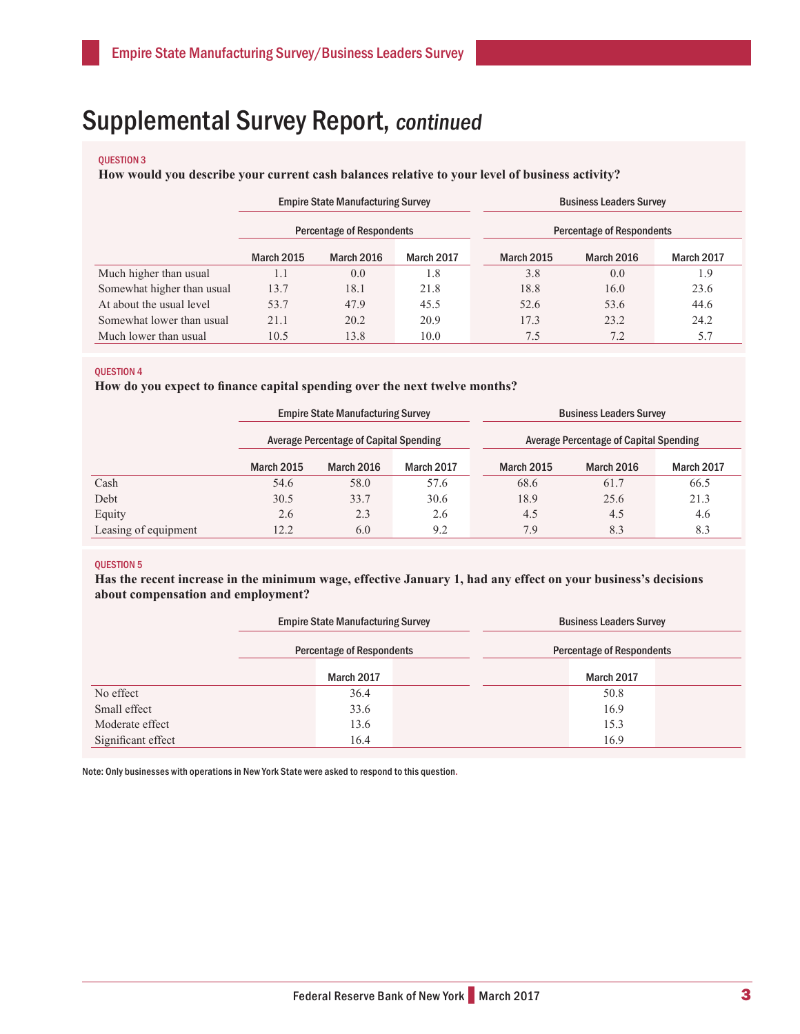#### QUESTION 3

#### **How would you describe your current cash balances relative to your level of business activity?**

|                            | <b>Empire State Manufacturing Survey</b><br><b>Percentage of Respondents</b> |            |            |  | <b>Business Leaders Survey</b><br><b>Percentage of Respondents</b> |                   |            |  |
|----------------------------|------------------------------------------------------------------------------|------------|------------|--|--------------------------------------------------------------------|-------------------|------------|--|
|                            |                                                                              |            |            |  |                                                                    |                   |            |  |
|                            | <b>March 2015</b>                                                            | March 2016 | March 2017 |  | <b>March 2015</b>                                                  | <b>March 2016</b> | March 2017 |  |
| Much higher than usual     | 1.1                                                                          | 0.0        | 1.8        |  | 3.8                                                                | 0.0               | 1.9        |  |
| Somewhat higher than usual | 13.7                                                                         | 18.1       | 21.8       |  | 18.8                                                               | 16.0              | 23.6       |  |
| At about the usual level   | 53.7                                                                         | 47.9       | 45.5       |  | 52.6                                                               | 53.6              | 44.6       |  |
| Somewhat lower than usual  | 21.1                                                                         | 20.2       | 20.9       |  | 17.3                                                               | 23.2              | 24.2       |  |
| Much lower than usual      | 10.5                                                                         | 13.8       | 10.0       |  | 7.5                                                                | 7.2               | 5.7        |  |

#### QUESTION 4

**How do you expect to finance capital spending over the next twelve months?**

|                      | <b>Empire State Manufacturing Survey</b><br><b>Average Percentage of Capital Spending</b> |            |            |  | <b>Business Leaders Survey</b><br><b>Average Percentage of Capital Spending</b> |                   |            |  |
|----------------------|-------------------------------------------------------------------------------------------|------------|------------|--|---------------------------------------------------------------------------------|-------------------|------------|--|
|                      |                                                                                           |            |            |  |                                                                                 |                   |            |  |
|                      | <b>March 2015</b>                                                                         | March 2016 | March 2017 |  | <b>March 2015</b>                                                               | <b>March 2016</b> | March 2017 |  |
| Cash                 | 54.6                                                                                      | 58.0       | 57.6       |  | 68.6                                                                            | 61.7              | 66.5       |  |
| Debt                 | 30.5                                                                                      | 33.7       | 30.6       |  | 18.9                                                                            | 25.6              | 21.3       |  |
| Equity               | 2.6                                                                                       | 2.3        | 2.6        |  | 4.5                                                                             | 4.5               | 4.6        |  |
| Leasing of equipment | 12.2                                                                                      | 6.0        | 9.2        |  | 7.9                                                                             | 8.3               | 8.3        |  |

#### QUESTION 5

**Has the recent increase in the minimum wage, effective January 1, had any effect on your business's decisions about compensation and employment?**

|                    | <b>Empire State Manufacturing Survey</b> |            |  | <b>Business Leaders Survey</b>   |            |  |  |
|--------------------|------------------------------------------|------------|--|----------------------------------|------------|--|--|
|                    | <b>Percentage of Respondents</b>         |            |  | <b>Percentage of Respondents</b> |            |  |  |
|                    |                                          | March 2017 |  |                                  | March 2017 |  |  |
| No effect          |                                          | 36.4       |  |                                  | 50.8       |  |  |
| Small effect       |                                          | 33.6       |  |                                  | 16.9       |  |  |
| Moderate effect    |                                          | 13.6       |  |                                  | 15.3       |  |  |
| Significant effect |                                          | 16.4       |  |                                  | 16.9       |  |  |

Note: Only businesses with operations in New York State were asked to respond to this question.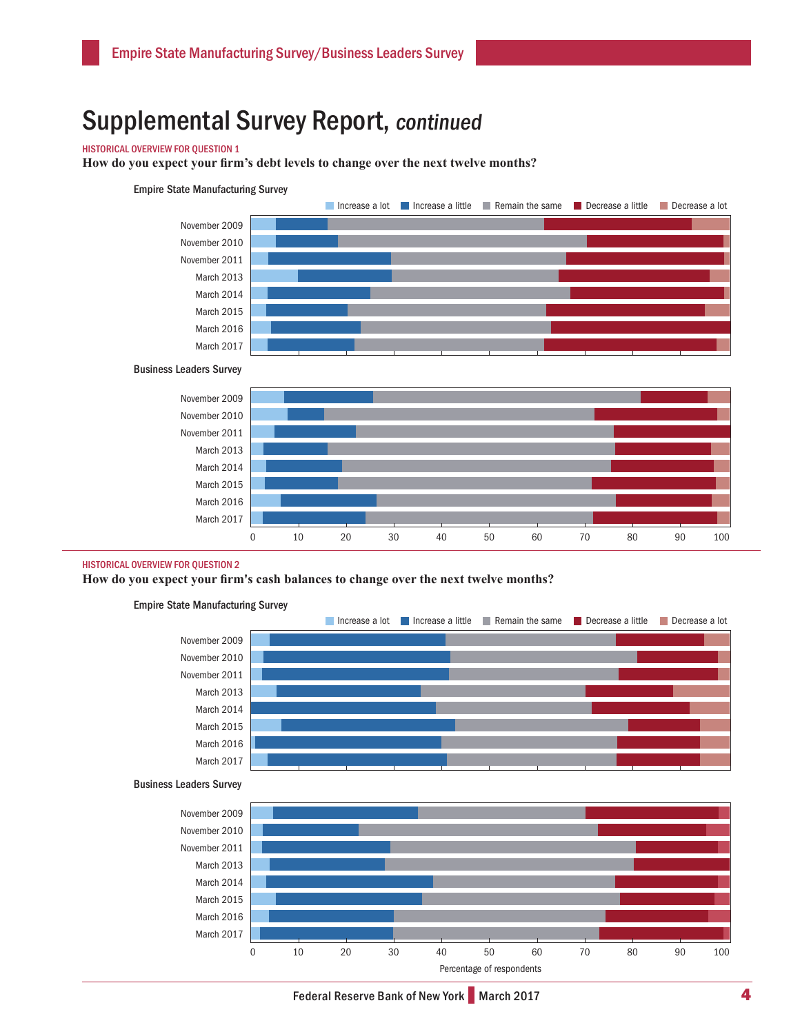#### HISTORICAL OVERVIEW FOR QUESTION 1

**How do you expect your firm's debt levels to change over the next twelve months?** 





#### HISTORICAL OVERVIEW FOR QUESTION 2

**How do you expect your firm's cash balances to change over the next twelve months?**



March 2017



0 10 20 30 40 50 60 70 80 90 100